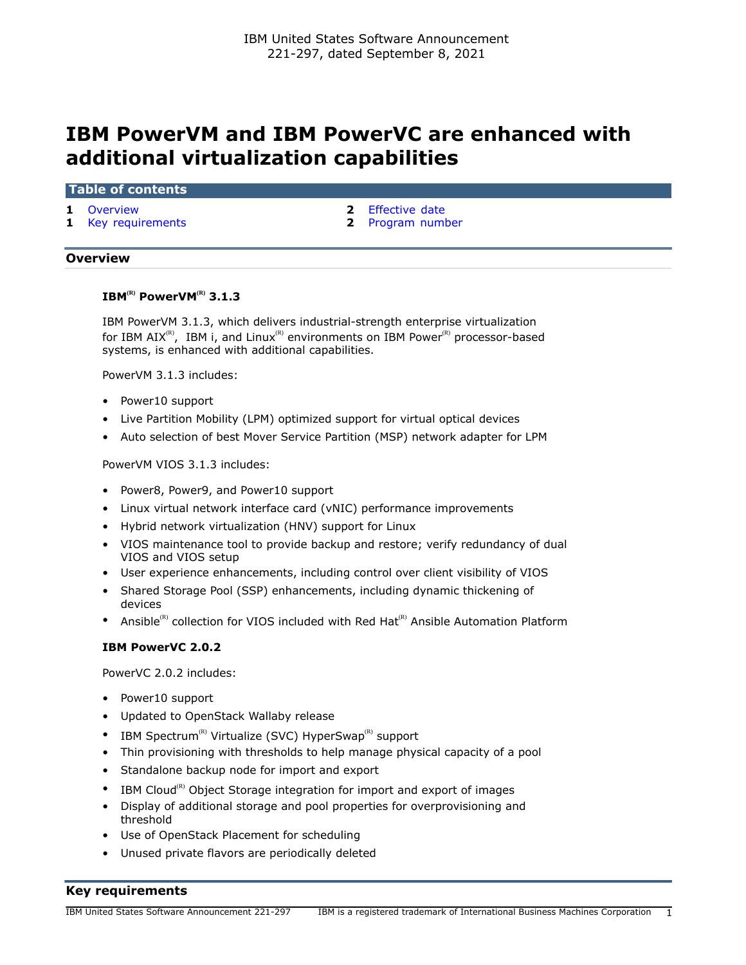# **IBM PowerVM and IBM PowerVC are enhanced with additional virtualization capabilities**

#### **Table of contents**

- 
- **1** [Key requirements](#page-0-1) **2** [Program number](#page-1-1)
- **1** [Overview](#page-0-0) **2** [Effective date](#page-1-0)

# <span id="page-0-0"></span>**Overview**

# **IBM(R) PowerVM(R) 3.1.3**

IBM PowerVM 3.1.3, which delivers industrial-strength enterprise virtualization for IBM AIX<sup>(R)</sup>, IBM i, and Linux<sup>(R)</sup> environments on IBM Power<sup>(R)</sup> processor-based systems, is enhanced with additional capabilities.

PowerVM 3.1.3 includes:

- Power10 support
- Live Partition Mobility (LPM) optimized support for virtual optical devices
- Auto selection of best Mover Service Partition (MSP) network adapter for LPM

PowerVM VIOS 3.1.3 includes:

- Power8, Power9, and Power10 support
- Linux virtual network interface card (vNIC) performance improvements
- Hybrid network virtualization (HNV) support for Linux
- VIOS maintenance tool to provide backup and restore; verify redundancy of dual VIOS and VIOS setup
- User experience enhancements, including control over client visibility of VIOS
- Shared Storage Pool (SSP) enhancements, including dynamic thickening of devices
- Ansible<sup>(R)</sup> collection for VIOS included with Red Hat<sup>(R)</sup> Ansible Automation Platform

#### **IBM PowerVC 2.0.2**

PowerVC 2.0.2 includes:

- Power10 support
- Updated to OpenStack Wallaby release
- IBM Spectrum<sup>(R)</sup> Virtualize (SVC) HyperSwap<sup>(R)</sup> support
- Thin provisioning with thresholds to help manage physical capacity of a pool
- Standalone backup node for import and export
- IBM Cloud<sup>(R)</sup> Object Storage integration for import and export of images
- Display of additional storage and pool properties for overprovisioning and threshold
- Use of OpenStack Placement for scheduling
- Unused private flavors are periodically deleted

# <span id="page-0-1"></span>**Key requirements**